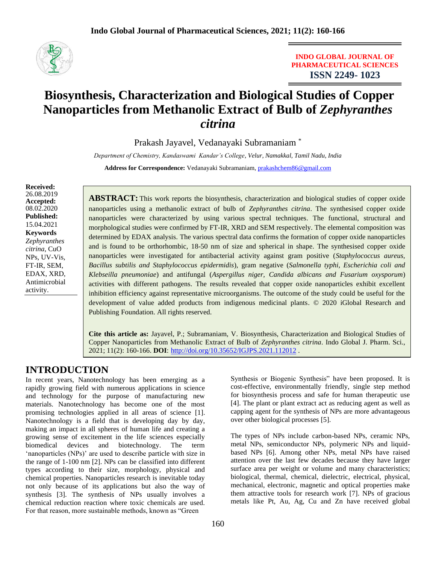

**INDO GLOBAL JOURNAL OF PHARMACEUTICAL SCIENCES ISSN 2249- 1023**

# **Biosynthesis, Characterization and Biological Studies of Copper Nanoparticles from Methanolic Extract of Bulb of** *Zephyranthes citrina*

Prakash Jayavel, Vedanayaki Subramaniam \*

*Department of Chemistry, Kandaswami Kandar's College, Velur, Namakkal, Tamil Nadu, India* **Address for Correspondence:** Vedanayaki Subramaniam, [prakashchem86@gmail.com](mailto:prakashchem86@gmail.com)

**Received:** 26.08.2019 **Accepted:**  08.02.2020 **Published:** 15.04.2021 **Keywords** *Zephyranthes citrina*, CuO NPs, UV-Vis, FT-IR, SEM, EDAX, XRD, Antimicrobial activity.

**ABSTRACT:** This work reports the biosynthesis, characterization and biological studies of copper oxide nanoparticles using a methanolic extract of bulb of *Zephyranthes citrina*. The synthesised copper oxide nanoparticles were characterized by using various spectral techniques. The functional, structural and morphological studies were confirmed by FT-IR, XRD and SEM respectively. The elemental composition was determined by EDAX analysis. The various spectral data confirms the formation of copper oxide nanoparticles and is found to be orthorhombic, 18-50 nm of size and spherical in shape. The synthesised copper oxide nanoparticles were investigated for antibacterial activity against gram positive (*Staphylococcus aureus, Bacillus subtilis and Staphylococcus epidermidis*), gram negative (*Salmonella typhi, Escherichia coli and Klebseilla pneumoniae*) and antifungal (*Aspergillus niger, Candida albicans and Fusarium oxysporum*) activities with different pathogens. The results revealed that copper oxide nanoparticles exhibit excellent inhibition efficiency against representative microorganisms. The outcome of the study could be useful for the development of value added products from indigenous medicinal plants. © 2020 iGlobal Research and Publishing Foundation. All rights reserved.

**Cite this article as:** Jayavel, P.; Subramaniam, V. Biosynthesis, Characterization and Biological Studies of Copper Nanoparticles from Methanolic Extract of Bulb of *Zephyranthes citrina*. Indo Global J. Pharm. Sci., 2021; 11(2): 160-166. **DOI**: <http://doi.org/10.35652/IGJPS.2021.112012> .

# **INTRODUCTION**

In recent years, Nanotechnology has been emerging as a rapidly growing field with numerous applications in science and technology for the purpose of manufacturing new materials. Nanotechnology has become one of the most promising technologies applied in all areas of science [1]. Nanotechnology is a field that is developing day by day, making an impact in all spheres of human life and creating a growing sense of excitement in the life sciences especially biomedical devices and biotechnology. The term 'nanoparticles (NPs)' are used to describe particle with size in the range of 1-100 nm [2]. NPs can be classified into different types according to their size, morphology, physical and chemical properties. Nanoparticles research is inevitable today not only because of its applications but also the way of synthesis [3]. The synthesis of NPs usually involves a chemical reduction reaction where toxic chemicals are used. For that reason, more sustainable methods, known as "Green

Synthesis or Biogenic Synthesis" have been proposed. It is cost-effective, environmentally friendly, single step method for biosynthesis process and safe for human therapeutic use [4]. The plant or plant extract act as reducing agent as well as capping agent for the synthesis of NPs are more advantageous over other biological processes [5].

The types of NPs include carbon-based NPs, ceramic NPs, metal NPs, semiconductor NPs, polymeric NPs and liquidbased NPs [6]. Among other NPs, metal NPs have raised attention over the last few decades because they have larger surface area per weight or volume and many characteristics; biological, thermal, chemical, dielectric, electrical, physical, mechanical, electronic, magnetic and optical properties make them attractive tools for research work [7]. NPs of gracious metals like Pt, Au, Ag, Cu and Zn have received global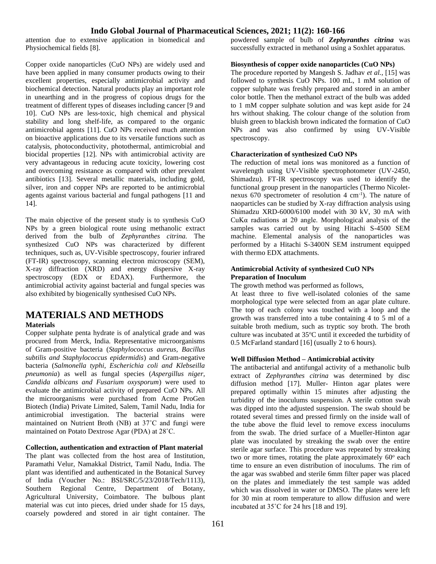attention due to extensive application in biomedical and Physiochemical fields [8].

Copper oxide nanoparticles (CuO NPs) are widely used and have been applied in many consumer products owing to their excellent properties, especially antimicrobial activity and biochemical detection. Natural products play an important role in unearthing and in the progress of copious drugs for the treatment of different types of diseases including cancer [9 and 10]. CuO NPs are less-toxic, high chemical and physical stability and long shelf-life, as compared to the organic antimicrobial agents [11]. CuO NPs received much attention on bioactive applications due to its versatile functions such as catalysis, photoconductivity, photothermal, antimicrobial and biocidal properties [12]. NPs with antimicrobial activity are very advantageous in reducing acute toxicity, lowering cost and overcoming resistance as compared with other prevalent antibiotics [13]. Several metallic materials, including gold, silver, iron and copper NPs are reported to be antimicrobial agents against various bacterial and fungal pathogens [11 and 14].

The main objective of the present study is to synthesis CuO NPs by a green biological route using methanolic extract derived from the bulb of *Zephyranthes citrina.* The synthesized CuO NPs was characterized by different techniques, such as, UV-Visible spectroscopy, fourier infrared (FT-IR) spectroscopy, scanning electron microscopy (SEM), X-ray diffraction (XRD) and energy dispersive X-ray spectroscopy (EDX or EDAX). Furthermore, the antimicrobial activity against bacterial and fungal species was also exhibited by biogenically synthesised CuO NPs.

# **MATERIALS AND METHODS**

### **Materials**

Copper sulphate penta hydrate is of analytical grade and was procured from Merck, India. Representative microorganisms of Gram-positive bacteria (*Staphylococcus aureus, Bacillus subtilis and Staphylococcus epidermidis*) and Gram-negative bacteria (*Salmonella typhi, Escherichia coli and Klebseilla pneumonia*) as well as fungal species (*Aspergillus niger, Candida albicans and Fusarium oxysporum*) were used to evaluate the antimicrobial activity of prepared CuO NPs. All the microorganisms were purchased from Acme ProGen Biotech (India) Private Limited, Salem, Tamil Nadu, India for antimicrobial investigation. The bacterial strains were maintained on Nutrient Broth (NB) at 37˚C and fungi were maintained on Potato Dextrose Agar (PDA) at 28˚C.

### **Collection, authentication and extraction of Plant material**

The plant was collected from the host area of Institution, Paramathi Velur, Namakkal District, Tamil Nadu, India. The plant was identified and authenticated in the Botanical Survey of India (Voucher No.: BSI/SRC/5/23/2018/Tech/1113), Southern Regional Centre, Department of Botany, Agricultural University, Coimbatore. The bulbous plant material was cut into pieces, dried under shade for 15 days, coarsely powdered and stored in air tight container. The

powdered sample of bulb of *Zephyranthes citrina* was successfully extracted in methanol using a Soxhlet apparatus.

## **Biosynthesis of copper oxide nanoparticles (CuO NPs)**

The procedure reported by Mangesh S. Jadhav *et al.*, [15] was followed to synthesis CuO NPs. 100 mL, 1 mM solution of copper sulphate was freshly prepared and stored in an amber color bottle. Then the methanol extract of the bulb was added to 1 mM copper sulphate solution and was kept aside for 24 hrs without shaking. The colour change of the solution from bluish green to blackish brown indicated the formation of CuO NPs and was also confirmed by using UV-Visible spectroscopy.

#### **Characterization of synthesized CuO NPs**

The reduction of metal ions was monitored as a function of wavelength using UV-Visible spectrophotometer (UV-2450, Shimadzu). FT-IR spectroscopy was used to identify the functional group present in the nanoparticles (Thermo Nicoletnexus 670 spectrometer of resolution 4 cm-1 ). The nature of naoparticles can be studied by X-ray diffraction analysis using Shimadzu XRD-6000/6100 model with 30 kV, 30 mA with CuKα radiations at 2θ angle. Morphological analysis of the samples was carried out by using Hitachi S-4500 SEM machine. Elemental analysis of the nanoparticles was performed by a Hitachi S-3400N SEM instrument equipped with thermo EDX attachments.

## **Antimicrobial Activity of synthesized CuO NPs Preparation of Inoculum**

The growth method was performed as follows,

At least three to five well-isolated colonies of the same morphological type were selected from an agar plate culture. The top of each colony was touched with a loop and the growth was transferred into a tube containing 4 to 5 ml of a suitable broth medium, such as tryptic soy broth. The broth culture was incubated at 35<sup>o</sup>C until it exceeded the turbidity of 0.5 McFarland standard [16] (usually 2 to 6 hours).

#### **Well Diffusion Method – Antimicrobial activity**

The antibacterial and antifungal activity of a methanolic bulb extract of *Zephyranthes citrina* was determined by disc diffusion method [17]. Muller- Hinton agar plates were prepared optimally within 15 minutes after adjusting the turbidity of the inoculums suspension. A sterile cotton swab was dipped into the adjusted suspension. The swab should be rotated several times and pressed firmly on the inside wall of the tube above the fluid level to remove excess inoculums from the swab. The dried surface of a Mueller-Hinton agar plate was inoculated by streaking the swab over the entire sterile agar surface. This procedure was repeated by streaking two or more times, rotating the plate approximately  $60^\circ$  each time to ensure an even distribution of inoculums. The rim of the agar was swabbed and sterile 6mm filter paper was placed on the plates and immediately the test sample was added which was dissolved in water or DMSO. The plates were left for 30 min at room temperature to allow diffusion and were incubated at 35˚C for 24 hrs [18 and 19].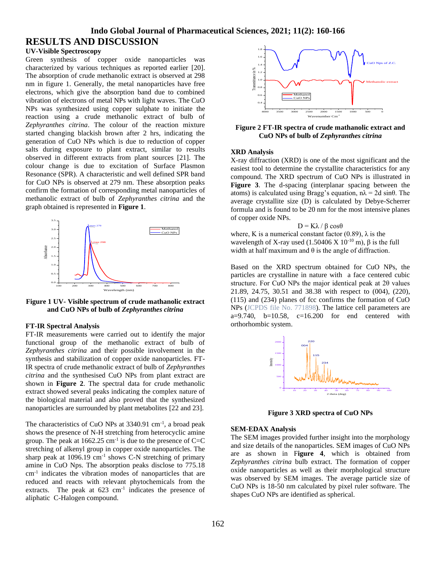# **Indo Global Journal of Pharmaceutical Sciences, 2021; 11(2): 160-166 RESULTS AND DISCUSSION**

## **UV-Visible Spectroscopy**

Green synthesis of copper oxide nanoparticles was characterized by various techniques as reported earlier [20]. The absorption of crude methanolic extract is observed at 298 nm in figure 1. Generally, the metal nanoparticles have free electrons, which give the absorption band due to combined vibration of electrons of metal NPs with light waves. The CuO NPs was synthesized using copper sulphate to initiate the reaction using a crude methanolic extract of bulb of *Zephyranthes citrina*. The colour of the reaction mixture started changing blackish brown after 2 hrs, indicating the generation of CuO NPs which is due to reduction of copper salts during exposure to plant extract, similar to results observed in different extracts from plant sources [21]. The colour change is due to excitation of Surface Plasmon Resonance (SPR). A characteristic and well defined SPR band for CuO NPs is observed at 279 nm. These absorption peaks confirm the formation of corresponding metal nanoparticles of methanolic extract of bulb of *Zephyranthes citrina* and the graph obtained is represented in **Figure 1**.



**Figure 1 UV- Visible spectrum of crude mathanolic extract and CuO NPs of bulb of** *Zephyranthes citrina*

#### **FT-IR Spectral Analysis**

FT-IR measurements were carried out to identify the major functional group of the methanolic extract of bulb of *Zephyranthes citrina* and their possible involvement in the synthesis and stabilization of copper oxide nanoparticles. FT-IR spectra of crude methanolic extract of bulb of *Zephyranthes citrina* and the synthesised CuO NPs from plant extract are shown in **Figure 2**. The spectral data for crude methanolic extract showed several peaks indicating the complex nature of the biological material and also proved that the synthesized nanoparticles are surrounded by plant metabolites [22 and 23].

The characteristics of CuO NPs at 3340.91 cm<sup>-1</sup>, a broad peak shows the presence of N-H stretching from heterocyclic amine group. The peak at  $1662.25$  cm<sup>-1</sup> is due to the presence of C=C stretching of alkenyl group in copper oxide nanoparticles. The sharp peak at  $1096.19 \text{ cm}^{-1}$  shows C-N stretching of primary amine in CuO Nps. The absorption peaks disclose to 775.18 cm-1 indicates the vibration modes of nanoparticles that are reduced and reacts with relevant phytochemicals from the extracts. The peak at  $623 \text{ cm}^{-1}$  indicates the presence of aliphatic C-Halogen compound.



**Figure 2 FT-IR spectra of crude mathanolic extract and CuO NPs of bulb of** *Zephyranthes citrina*

#### **XRD Analysis**

X-ray diffraction (XRD) is one of the most significant and the easiest tool to determine the crystallite characteristics for any compound. The XRD spectrum of CuO NPs is illustrated in **Figure 3**. The d-spacing (interplanar spacing between the atoms) is calculated using Bragg's equation,  $n\lambda = 2d \sin\theta$ . The average crystallite size (D) is calculated by Debye-Scherrer formula and is found to be 20 nm for the most intensive planes of copper oxide NPs.

 $D = K\lambda / \beta \cos\theta$ 

where, K is a numerical constant factor (0.89),  $\lambda$  is the wavelength of X-ray used (1.50406 X  $10^{-10}$  m),  $\beta$  is the full width at half maximum and  $\theta$  is the angle of diffraction.

Based on the XRD spectrum obtained for CuO NPs, the particles are crystalline in nature with a face centered cubic structure. For CuO NPs the major identical peak at 2θ values 21.89, 24.75, 30.51 and 38.38 with respect to (004), (220), (115) and (234) planes of fcc confirms the formation of CuO NPs (JCPDS file No. 771898). The lattice cell parameters are  $a=9.740$ ,  $b=10.58$ ,  $c=16.200$  for end centered with orthorhombic system.



**Figure 3 XRD spectra of CuO NPs**

#### **SEM-EDAX Analysis**

The SEM images provided further insight into the morphology and size details of the nanoparticles. SEM images of CuO NPs are as shown in F**igure 4**, which is obtained from *Zephyranthes citrina* bulb extract. The formation of copper oxide nanoparticles as well as their morphological structure was observed by SEM images. The average particle size of CuO NPs is 18-50 nm calculated by pixel ruler software. The shapes CuO NPs are identified as spherical.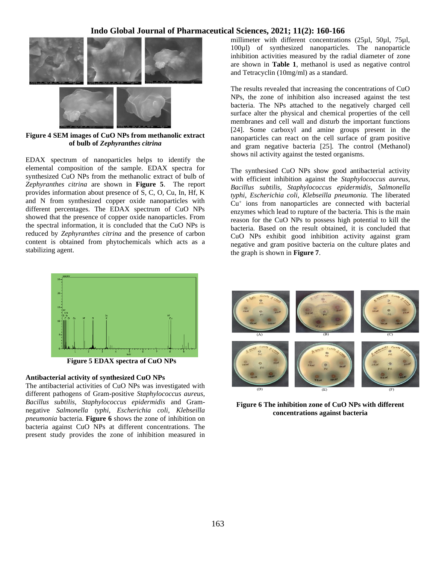

**Figure 4 SEM images of CuO NPs from methanolic extract of bulb of** *Zephyranthes citrina*

EDAX spectrum of nanoparticles helps to identify the elemental composition of the sample. EDAX spectra for synthesized CuO NPs from the methanolic extract of bulb of *Zephyranthes citrina* are shown in **Figure 5**. The report provides information about presence of S, C, O, Cu, In, Hf, K and N from synthesized copper oxide nanoparticles with different percentages. The EDAX spectrum of CuO NPs showed that the presence of copper oxide nanoparticles. From the spectral information, it is concluded that the CuO NPs is reduced by *Zephyranthes citrina* and the presence of carbon content is obtained from phytochemicals which acts as a stabilizing agent.

millimeter with different concentrations (25µl, 50µl, 75µl, 100µl) of synthesized nanoparticles. The nanoparticle inhibition activities measured by the radial diameter of zone are shown in **Table 1**, methanol is used as negative control and Tetracyclin (10mg/ml) as a standard.

The results revealed that increasing the concentrations of CuO NPs, the zone of inhibition also increased against the test bacteria. The NPs attached to the negatively charged cell surface alter the physical and chemical properties of the cell membranes and cell wall and disturb the important functions [24]. Some carboxyl and amine groups present in the nanoparticles can react on the cell surface of gram positive and gram negative bacteria [25]. The control (Methanol) shows nil activity against the tested organisms.

The synthesised CuO NPs show good antibacterial activity with efficient inhibition against the *Staphylococcus aureus, Bacillus subtilis, Staphylococcus epidermidis, Salmonella typhi*, *Escherichia coli, Klebseilla pneumonia.* The liberated Cu<sup>+</sup> ions from nanoparticles are connected with bacterial enzymes which lead to rupture of the bacteria. This is the main reason for the CuO NPs to possess high potential to kill the bacteria. Based on the result obtained, it is concluded that CuO NPs exhibit good inhibition activity against gram negative and gram positive bacteria on the culture plates and the graph is shown in **Figure 7**.



**Figure 5 EDAX spectra of CuO NPs**

## **Antibacterial activity of synthesized CuO NPs**

The antibacterial activities of CuO NPs was investigated with different pathogens of Gram-positive *Staphylococcus aureus, Bacillus subtilis, Staphylococcus epidermidis* and Gramnegative *Salmonella typhi*, *Escherichia coli, Klebseilla pneumonia* bacteria. **Figure 6** shows the zone of inhibition on bacteria against CuO NPs at different concentrations. The present study provides the zone of inhibition measured in



**Figure 6 The inhibition zone of CuO NPs with different concentrations against bacteria**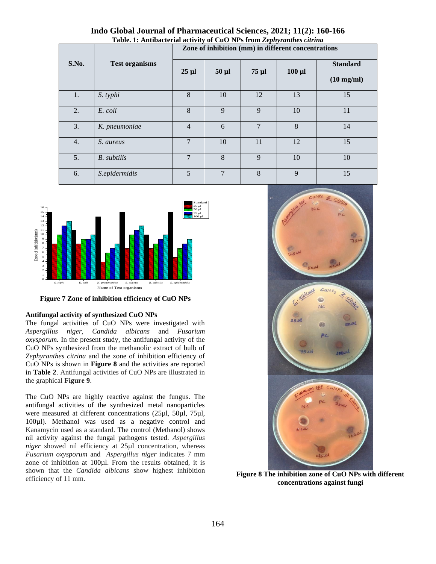|       | <b>Test organisms</b> | Table. 1: Antibacterial activity of CuO NPs from <i>Lephyranthes citrina</i><br>Zone of inhibition (mm) in different concentrations |                |                |             |                                         |  |  |
|-------|-----------------------|-------------------------------------------------------------------------------------------------------------------------------------|----------------|----------------|-------------|-----------------------------------------|--|--|
| S.No. |                       | $25 \mu l$                                                                                                                          | $50 \mu l$     | $75 \mu$ l     | $100 \mu l$ | <b>Standard</b><br>$(10 \text{ mg/ml})$ |  |  |
| 1.    | S. typhi              | 8                                                                                                                                   | 10             | 12             | 13          | 15                                      |  |  |
| 2.    | E. coli               | 8                                                                                                                                   | 9              | $\mathbf{Q}$   | 10          | 11                                      |  |  |
| 3.    | K. pneumoniae         | $\overline{4}$                                                                                                                      | 6              | $\overline{7}$ | 8           | 14                                      |  |  |
| 4.    | S. aureus             | $\overline{7}$                                                                                                                      | 10             | 11             | 12          | 15                                      |  |  |
| 5.    | <b>B.</b> subtilis    | $\overline{7}$                                                                                                                      | 8              | 9              | 10          | 10                                      |  |  |
| 6.    | S.epidermidis         | 5                                                                                                                                   | $\overline{7}$ | 8              | 9           | 15                                      |  |  |

**Indo Global Journal of Pharmaceutical Sciences, 2021; 11(2): 160-166 Table. 1: Antibacterial activity of CuO NPs from** *Zephyranthes citrina*



**Figure 7 Zone of inhibition efficiency of CuO NPs**

#### **Antifungal activity of synthesized CuO NPs**

The fungal activities of CuO NPs were investigated with *Aspergillus niger, Candida albicans* and *Fusarium oxysporum.* In the present study, the antifungal activity of the CuO NPs synthesized from the methanolic extract of bulb of *Zephyranthes citrina* and the zone of inhibition efficiency of CuO NPs is shown in **Figure 8** and the activities are reported in **Table 2**. Antifungal activities of CuO NPs are illustrated in the graphical **Figure 9**.

The CuO NPs are highly reactive against the fungus. The antifungal activities of the synthesized metal nanoparticles were measured at different concentrations (25µl, 50µl, 75µl, 100µl). Methanol was used as a negative control and Kanamycin used as a standard. The control (Methanol) shows nil activity against the fungal pathogens tested. *Aspergillus niger* showed nil efficiency at 25µl concentration, whereas *Fusarium oxysporum* and *Aspergillus niger* indicates 7 mm zone of inhibition at 100µl. From the results obtained, it is shown that the *Candida albicans* show highest inhibition efficiency of 11 mm.



**Figure 8 The inhibition zone of CuO NPs with different concentrations against fungi**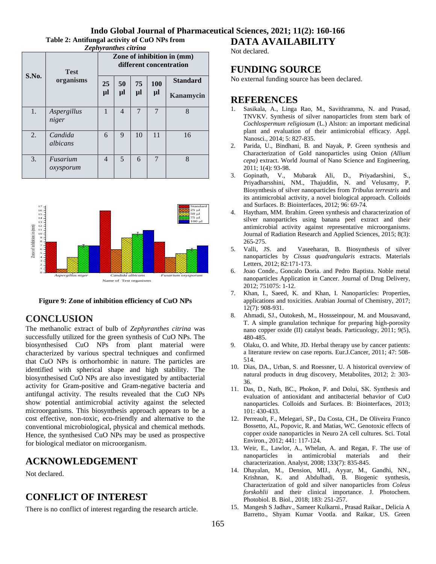**Table 2: Antifungal activity of CuO NPs from**  *Zephyranthes citrina*

| S.No. | <b>Test</b><br>organisms | Zone of inhibition in (mm)<br>different concentration |                |          |                  |                              |  |
|-------|--------------------------|-------------------------------------------------------|----------------|----------|------------------|------------------------------|--|
|       |                          | 25<br>μl                                              | 50<br>μl       | 75<br>μl | <b>100</b><br>μl | <b>Standard</b><br>Kanamycin |  |
| 1.    | Aspergillus<br>niger     | 1                                                     | $\overline{4}$ | 7        | $\overline{7}$   | 8                            |  |
| 2.    | Candida<br>albicans      | 6                                                     | 9              | 10       | 11               | 16                           |  |
| 3.    | Fusarium<br>oxysporum    | $\overline{4}$                                        | 5              | 6        | $\overline{7}$   | 8                            |  |



#### **Figure 9: Zone of inhibition efficiency of CuO NPs**

## **CONCLUSION**

The methanolic extract of bulb of *Zephyranthes citrina* was successfully utilized for the green synthesis of CuO NPs. The biosynthesised CuO NPs from plant material were characterized by various spectral techniques and confirmed that CuO NPs is orthorhombic in nature. The particles are identified with spherical shape and high stability. The biosynthesised CuO NPs are also investigated by antibacterial activity for Gram-positive and Gram-negative bacteria and antifungal activity. The results revealed that the CuO NPs show potential antimicrobial activity against the selected microorganisms. This biosynthesis approach appears to be a cost effective, non-toxic, eco-friendly and alternative to the conventional microbiological, physical and chemical methods. Hence, the synthesised CuO NPs may be used as prospective for biological mediator on microorganism.

# **ACKNOWLEDGEMENT**

Not declared.

# **CONFLICT OF INTEREST**

There is no conflict of interest regarding the research article.

**DATA AVAILABILITY** 

## Not declared.

# **FUNDING SOURCE**

No external funding source has been declared.

## **REFERENCES**

- 1. Sasikala, A., Linga Rao, M., Savithramma, N. and Prasad, TNVKV. Synthesis of silver nanoparticles from stem bark of *Cochlospermum religiosum* (L.) Alston: an important medicinal plant and evaluation of their antimicrobial efficacy. Appl. Nanosci., 2014; 5: 827-835.
- 2. Parida, U., Bindhani, B. and Nayak, P. Green synthesis and Characterization of Gold nanoparticles using Onion *(Allium cepa)* extract. World Journal of Nano Science and Engineering, 2011; 1(4): 93-98.
- 3. Gopinath, V., Mubarak Ali, D., Priyadarshini, S., Priyadharsshini, NM., Thajuddin, N. and Velusamy, P. Biosynthesis of silver nanoparticles from *Tribulus terrestris* and its antimicrobial activity, a novel biological approach. Colloids and Surfaces. B: Biointerfaces, 2012; 96: 69-74.
- 4. Haytham, MM. Ibrahim. Green synthesis and characterization of silver nanoparticles using banana peel extract and their antimicrobial activity against representative microorganisms. Journal of Radiation Research and Applied Sciences, 2015; 8(3): 265-275.
- 5. Valli, JS. and Vaseeharan, B. Biosynthesis of silver nanoparticles by *Cissus quadrangularis* extracts. Materials Letters, 2012; 82:171-173.
- 6. Joao Conde., Goncalo Doria. and Pedro Baptista. Noble metal nanoparticles Application in Cancer. Journal of Drug Delivery, 2012; 751075: 1-12.
- 7. Khan, I., Saeed, K. and Khan, I. Nanoparticles: Properties, applications and toxicities. Arabian Journal of Chemistry, 2017; 12(7): 908-931.
- 8. Ahmadi, SJ., Outokesh, M., Hossseinpour, M. and Mousavand, T. A simple granulation technique for preparing high-porosity nano copper oxide (II) catalyst beads. Particuology, 2011; 9(5), 480-485.
- 9. Olaku, O. and White, JD. Herbal therapy use by cancer patients: a literature review on case reports. Eur.J.Cancer, 2011; 47: 508- 514.
- 10. Dias, DA., Urban, S. and Roessner, U. A historical overview of natural products in drug discovery, Metabolites, 2012; 2: 303- 36.
- 11. Das, D., Nath, BC., Phokon, P. and Dolui, SK. Synthesis and evaluation of antioxidant and antibacterial behavior of CuO nanoparticles. Colloids and Surfaces. B: Biointerfaces, 2013; 101: 430-433.
- 12. Perreault, F., Melegari, SP., Da Costa, CH., De Oliveira Franco Bossetto, AL, Popovic, R. and Matias, WC. Genotoxic effects of copper oxide nanoparticles in Neuro 2A cell cultures. Sci. Total Environ., 2012; 441: 117-124.
- 13. Weir, E., Lawlor, A., Whelan, A. and Regan, F. The use of nanoparticles in antimicrobial materials and their characterization. Analyst, 2008; 133(7): 835-845.
- 14. Dhayalan, M., Dension, MIJ., Ayyar, M., Gandhi, NN., Krishnan, K. and Abdulhadi, B. Biogenic synthesis, Characterization of gold and silver nanoparticles from *Coleus forskohlii* and their clinical importance. J. Photochem. Photobiol. B. Biol., 2018; 183: 251-257.
- 15. Mangesh S Jadhav., Sameer Kulkarni., Prasad Raikar., Delicia A Barretto., Shyam Kumar Vootla. and Raikar, US. Green